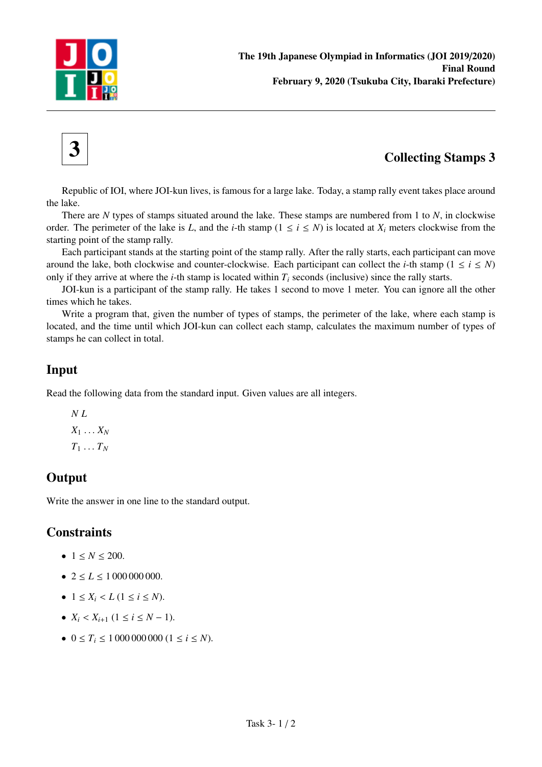



# $3$  Collecting Stamps 3

Republic of IOI, where JOI-kun lives, is famous for a large lake. Today, a stamp rally event takes place around the lake.

There are *N* types of stamps situated around the lake. These stamps are numbered from 1 to *N*, in clockwise order. The perimeter of the lake is *L*, and the *i*-th stamp ( $1 \le i \le N$ ) is located at  $X_i$  meters clockwise from the starting point of the stamp rally.

Each participant stands at the starting point of the stamp rally. After the rally starts, each participant can move around the lake, both clockwise and counter-clockwise. Each participant can collect the *i*-th stamp ( $1 \le i \le N$ ) only if they arrive at where the *i*-th stamp is located within  $T_i$  seconds (inclusive) since the rally starts.

JOI-kun is a participant of the stamp rally. He takes 1 second to move 1 meter. You can ignore all the other times which he takes.

Write a program that, given the number of types of stamps, the perimeter of the lake, where each stamp is located, and the time until which JOI-kun can collect each stamp, calculates the maximum number of types of stamps he can collect in total.

### Input

Read the following data from the standard input. Given values are all integers.

*N L*  $X_1 \ldots X_N$  $T_1 \ldots T_N$ 

## **Output**

Write the answer in one line to the standard output.

### **Constraints**

- $1 \le N \le 200$ .
- $2 \le L \le 1000000000$ .
- $1 \le X_i < L$  ( $1 \le i \le N$ ).
- $X_i < X_{i+1}$   $(1 \leq i \leq N-1)$ .
- $0 \le T_i \le 10000000000 (1 \le i \le N)$ .